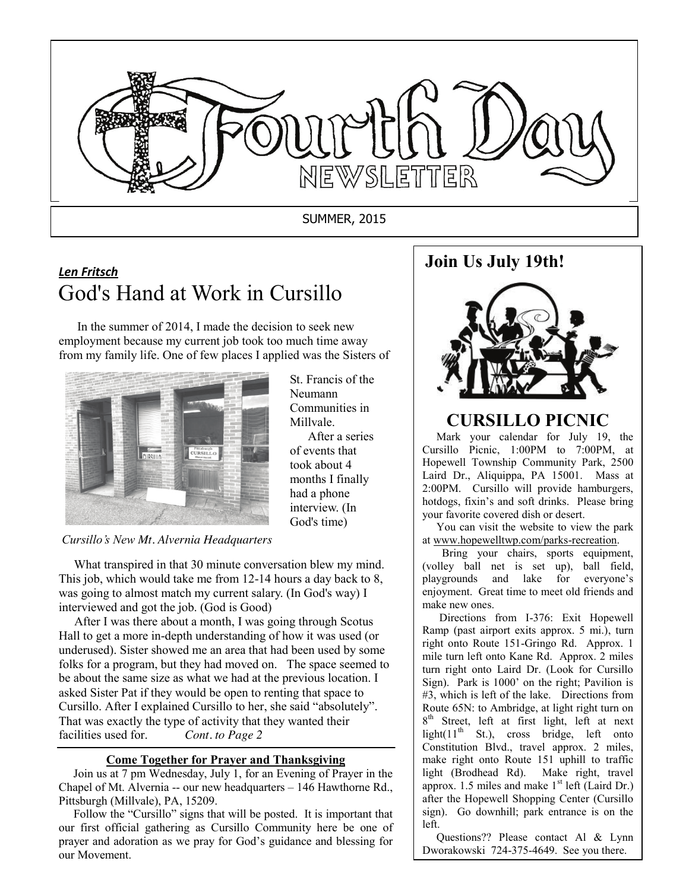

# *Len Fritsch* God's Hand at Work in Cursillo

 In the summer of 2014, I made the decision to seek new employment because my current job took too much time away from my family life. One of few places I applied was the Sisters of



St. Francis of the Neumann Communities in Millvale.

 After a series of events that took about 4 months I finally had a phone interview. (In God's time)

### *Cursillo's New Mt. Alvernia Headquarters*

 What transpired in that 30 minute conversation blew my mind. This job, which would take me from 12-14 hours a day back to 8, was going to almost match my current salary. (In God's way) I interviewed and got the job. (God is Good)

 After I was there about a month, I was going through Scotus Hall to get a more in-depth understanding of how it was used (or underused). Sister showed me an area that had been used by some folks for a program, but they had moved on. The space seemed to be about the same size as what we had at the previous location. I asked Sister Pat if they would be open to renting that space to Cursillo. After I explained Cursillo to her, she said "absolutely". That was exactly the type of activity that they wanted their facilities used for. *Cont. to Page 2*

#### **Come Together for Prayer and Thanksgiving**

 Join us at 7 pm Wednesday, July 1, for an Evening of Prayer in the Chapel of Mt. Alvernia -- our new headquarters – 146 Hawthorne Rd., Pittsburgh (Millvale), PA, 15209.

prayer and adoration as we pray for God's guidance and blessing for Follow the "Cursillo" signs that will be posted. It is important that our first official gathering as Cursillo Community here be one of our Movement.

## **Join Us July 19th!**



## **CURSILLO PICNIC**

 Mark your calendar for July 19, the Cursillo Picnic, 1:00PM to 7:00PM, at Hopewell Township Community Park, 2500 Laird Dr., Aliquippa, PA 15001. Mass at 2:00PM. Cursillo will provide hamburgers, hotdogs, fixin's and soft drinks. Please bring your favorite covered dish or desert.

 You can visit the website to view the park at www.hopewelltwp.com/parks-recreation.

 Bring your chairs, sports equipment, (volley ball net is set up), ball field, playgrounds and lake for everyone's enjoyment. Great time to meet old friends and make new ones.

 Directions from I-376: Exit Hopewell Ramp (past airport exits approx. 5 mi.), turn right onto Route 151-Gringo Rd. Approx. 1 mile turn left onto Kane Rd. Approx. 2 miles turn right onto Laird Dr. (Look for Cursillo Sign). Park is 1000' on the right; Pavilion is #3, which is left of the lake. Directions from Route 65N: to Ambridge, at light right turn on 8<sup>th</sup> Street, left at first light, left at next light( $11<sup>th</sup>$  St.), cross bridge, left onto Constitution Blvd., travel approx. 2 miles, make right onto Route 151 uphill to traffic light (Brodhead Rd). Make right, travel approx. 1.5 miles and make  $1<sup>st</sup>$  left (Laird Dr.) after the Hopewell Shopping Center (Cursillo sign). Go downhill; park entrance is on the left.

 Questions?? Please contact Al & Lynn Dworakowski 724-375-4649. See you there.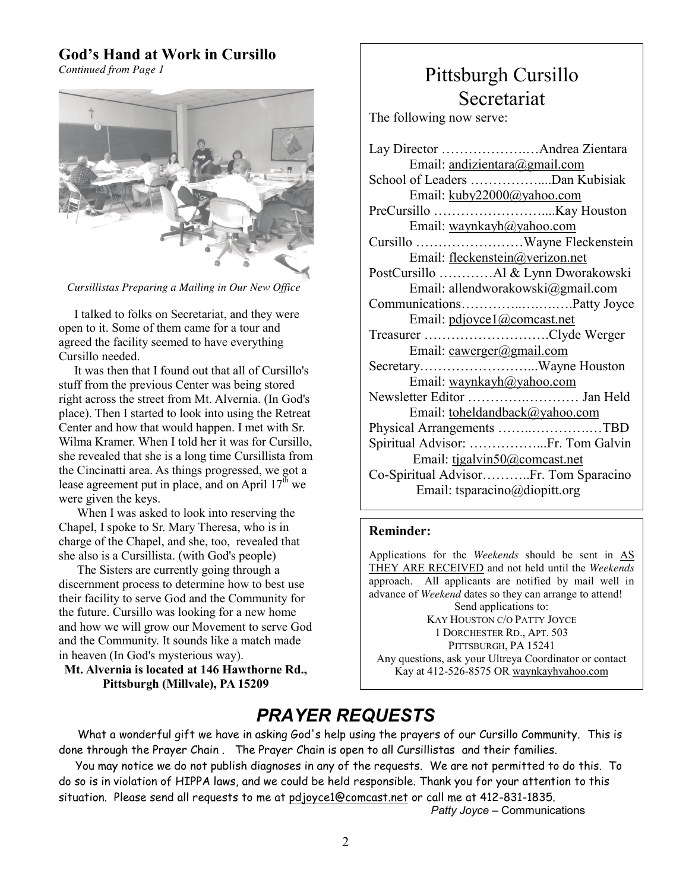### **God's Hand at Work in Cursillo**

*Continued from Page 1*



 *Cursillistas Preparing a Mailing in Our New Office*

 I talked to folks on Secretariat, and they were open to it. Some of them came for a tour and agreed the facility seemed to have everything Cursillo needed.

 It was then that I found out that all of Cursillo's stuff from the previous Center was being stored right across the street from Mt. Alvernia. (In God's place). Then I started to look into using the Retreat Center and how that would happen. I met with Sr. Wilma Kramer. When I told her it was for Cursillo, she revealed that she is a long time Cursillista from the Cincinatti area. As things progressed, we got a lease agreement put in place, and on April  $17<sup>th</sup>$  we were given the keys.

 When I was asked to look into reserving the Chapel, I spoke to Sr. Mary Theresa, who is in charge of the Chapel, and she, too, revealed that she also is a Cursillista. (with God's people)

 The Sisters are currently going through a discernment process to determine how to best use their facility to serve God and the Community for the future. Cursillo was looking for a new home and how we will grow our Movement to serve God and the Community. It sounds like a match made in heaven (In God's mysterious way).

**Mt. Alvernia is located at 146 Hawthorne Rd., Pittsburgh (Millvale), PA 15209**

# Pittsburgh Cursillo Secretariat

The following now serve:

| Email: andizientara@gmail.com         |  |  |
|---------------------------------------|--|--|
| School of Leaders Dan Kubisiak        |  |  |
| Email: kuby22000@yahoo.com            |  |  |
|                                       |  |  |
| Email: waynkayh@yahoo.com             |  |  |
|                                       |  |  |
| Email: fleckenstein@verizon.net       |  |  |
| PostCursillo Al & Lynn Dworakowski    |  |  |
| Email: allendworakowski@gmail.com     |  |  |
|                                       |  |  |
| Email: pdjoyce1@comcast.net           |  |  |
|                                       |  |  |
| Email: cawerger@gmail.com             |  |  |
| SecretaryWayne Houston                |  |  |
| Email: waynkayh@yahoo.com             |  |  |
| Newsletter Editor  Jan Held           |  |  |
| Email: toheldandback@yahoo.com        |  |  |
| Physical Arrangements TBD             |  |  |
| Spiritual Advisor: Fr. Tom Galvin     |  |  |
| Email: tjgalvin50@comcast.net         |  |  |
| Co-Spiritual AdvisorFr. Tom Sparacino |  |  |
| Email: tsparacino@diopitt.org         |  |  |
|                                       |  |  |

### **Reminder:**

Applications for the *Weekends* should be sent in AS THEY ARE RECEIVED and not held until the *Weekends* approach. All applicants are notified by mail well in advance of *Weekend* dates so they can arrange to attend! Send applications to: KAY HOUSTON C/O PATTY JOYCE 1 DORCHESTER RD., APT. 503 PITTSBURGH, PA 15241 Any questions, ask your Ultreya Coordinator or contact Kay at 412-526-8575 OR waynkayhyahoo.com

# *PRAYER REQUESTS*

 What a wonderful gift we have in asking God's help using the prayers of our Cursillo Community. This is done through the Prayer Chain . The Prayer Chain is open to all Cursillistas and their families.

 You may notice we do not publish diagnoses in any of the requests. We are not permitted to do this. To do so is in violation of HIPPA laws, and we could be held responsible. Thank you for your attention to this situation. Please send all requests to me at pdjoyce1@comcast.net or call me at 412-831-1835.

 *Patty Joyce* – Communications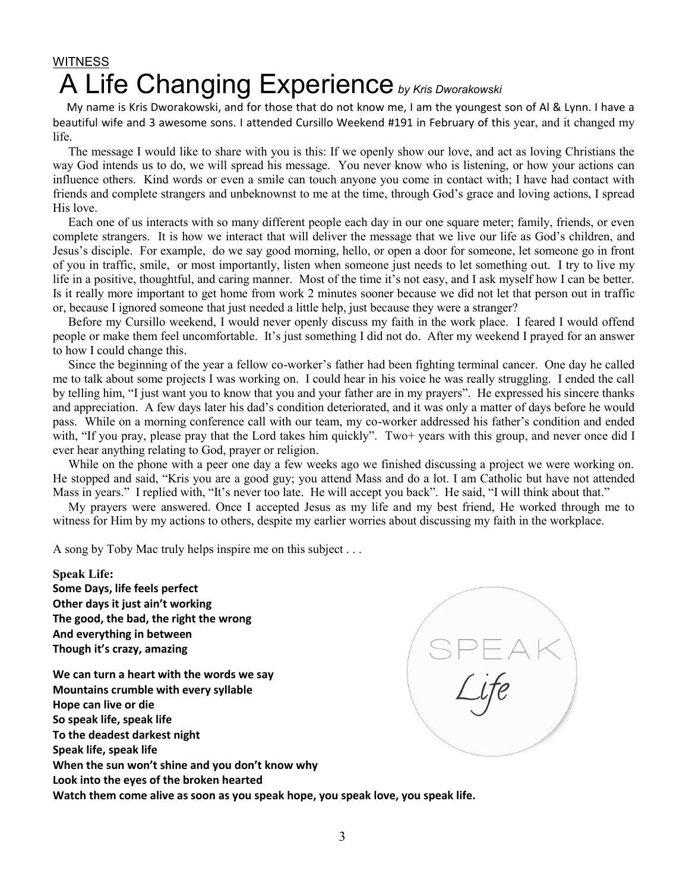# **WITNESS** A Life Changing Experience by Kris Dworakowski

 My name is Kris Dworakowski, and for those that do not know me, I am the youngest son of Al & Lynn. I have a beautiful wife and 3 awesome sons. I attended Cursillo Weekend #191 in February of this year, and it changed my life.

 The message I would like to share with you is this: If we openly show our love, and act as loving Christians the way God intends us to do, we will spread his message. You never know who is listening, or how your actions can influence others. Kind words or even a smile can touch anyone you come in contact with; I have had contact with friends and complete strangers and unbeknownst to me at the time, through God's grace and loving actions, I spread His love.

 Each one of us interacts with so many different people each day in our one square meter; family, friends, or even complete strangers. It is how we interact that will deliver the message that we live our life as God's children, and Jesus's disciple. For example, do we say good morning, hello, or open a door for someone, let someone go in front of you in traffic, smile, or most importantly, listen when someone just needs to let something out. I try to live my life in a positive, thoughtful, and caring manner. Most of the time it's not easy, and I ask myself how I can be better. Is it really more important to get home from work 2 minutes sooner because we did not let that person out in traffic or, because I ignored someone that just needed a little help, just because they were a stranger?

 Before my Cursillo weekend, I would never openly discuss my faith in the work place. I feared I would offend people or make them feel uncomfortable. It's just something I did not do. After my weekend I prayed for an answer to how I could change this.

 Since the beginning of the year a fellow co-worker's father had been fighting terminal cancer. One day he called me to talk about some projects I was working on. I could hear in his voice he was really struggling. I ended the call by telling him, "I just want you to know that you and your father are in my prayers". He expressed his sincere thanks and appreciation. A few days later his dad's condition deteriorated, and it was only a matter of days before he would pass. While on a morning conference call with our team, my co-worker addressed his father's condition and ended with, "If you pray, please pray that the Lord takes him quickly". Two+ years with this group, and never once did I ever hear anything relating to God, prayer or religion.

 While on the phone with a peer one day a few weeks ago we finished discussing a project we were working on. He stopped and said, "Kris you are a good guy; you attend Mass and do a lot. I am Catholic but have not attended Mass in years." I replied with, "It's never too late. He will accept you back". He said, "I will think about that."

 My prayers were answered. Once I accepted Jesus as my life and my best friend, He worked through me to witness for Him by my actions to others, despite my earlier worries about discussing my faith in the workplace.

A song by Toby Mac truly helps inspire me on this subject . . .

**Speak Life:** 

**Some Days, life feels perfect Other days it just ain't working The good, the bad, the right the wrong And everything in between Though it's crazy, amazing**

**We can turn a heart with the words we say Mountains crumble with every syllable Hope can live or die So speak life, speak life To the deadest darkest night Speak life, speak life When the sun won't shine and you don't know why Look into the eyes of the broken hearted Watch them come alive as soon as you speak hope, you speak love, you speak life.**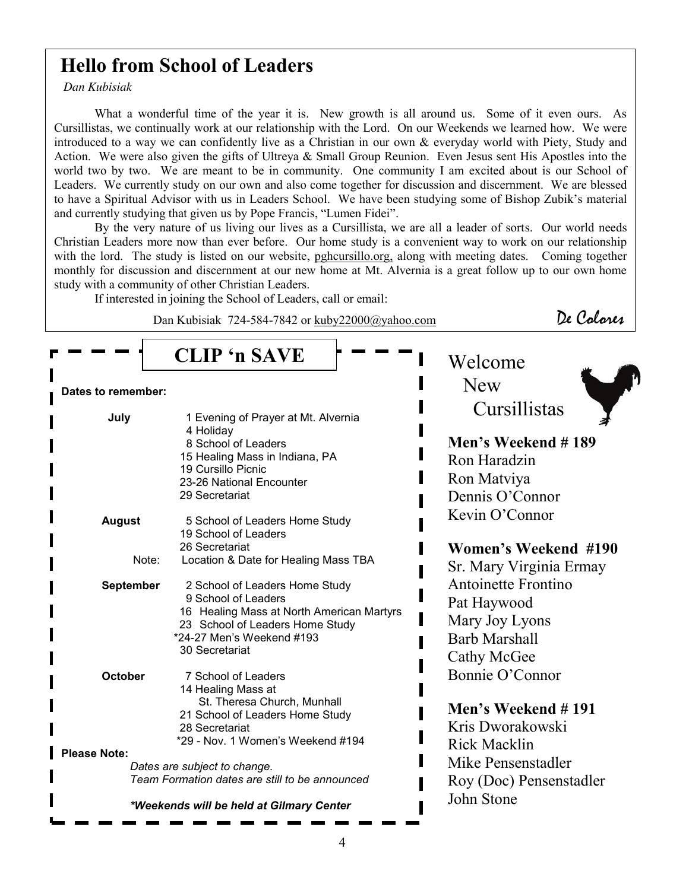# **Hello from School of Leaders**

*Dan Kubisiak* 

What a wonderful time of the year it is. New growth is all around us. Some of it even ours. As Cursillistas, we continually work at our relationship with the Lord. On our Weekends we learned how. We were introduced to a way we can confidently live as a Christian in our own & everyday world with Piety, Study and Action. We were also given the gifts of Ultreya & Small Group Reunion. Even Jesus sent His Apostles into the world two by two. We are meant to be in community. One community I am excited about is our School of Leaders. We currently study on our own and also come together for discussion and discernment. We are blessed to have a Spiritual Advisor with us in Leaders School. We have been studying some of Bishop Zubik's material and currently studying that given us by Pope Francis, "Lumen Fidei".

By the very nature of us living our lives as a Cursillista, we are all a leader of sorts. Our world needs Christian Leaders more now than ever before. Our home study is a convenient way to work on our relationship with the lord. The study is listed on our website, pghcursillo.org, along with meeting dates. Coming together monthly for discussion and discernment at our new home at Mt. Alvernia is a great follow up to our own home study with a community of other Christian Leaders.

If interested in joining the School of Leaders, call or email:

Dan Kubisiak 724-584-7842 or kuby22000@yahoo.com De Colores

|                                                                                | <b>CLIP</b> 'n SAVE                                                                                                                                                                  | Welcome                                                                                     |
|--------------------------------------------------------------------------------|--------------------------------------------------------------------------------------------------------------------------------------------------------------------------------------|---------------------------------------------------------------------------------------------|
| Dates to remember:                                                             |                                                                                                                                                                                      | <b>New</b>                                                                                  |
| July                                                                           | 1 Evening of Prayer at Mt. Alvernia<br>4 Holiday<br>8 School of Leaders<br>15 Healing Mass in Indiana, PA<br>19 Cursillo Picnic<br>23-26 National Encounter<br>29 Secretariat        | Cursillistas<br>Men's Weekend #189<br>Ron Haradzin<br>Ron Matviya<br>Dennis O'Connor        |
| <b>August</b>                                                                  | 5 School of Leaders Home Study<br>19 School of Leaders                                                                                                                               | Kevin O'Connor                                                                              |
| Note:                                                                          | 26 Secretariat<br>Location & Date for Healing Mass TBA                                                                                                                               | Women's Weekend #190<br>Sr. Mary Virginia Ermay                                             |
| <b>September</b>                                                               | 2 School of Leaders Home Study<br>9 School of Leaders<br>16 Healing Mass at North American Martyrs<br>23 School of Leaders Home Study<br>*24-27 Men's Weekend #193<br>30 Secretariat | Antoinette Frontino<br>Pat Haywood<br>Mary Joy Lyons<br><b>Barb Marshall</b><br>Cathy McGee |
| October                                                                        | 7 School of Leaders<br>14 Healing Mass at<br>St. Theresa Church, Munhall<br>21 School of Leaders Home Study<br>28 Secretariat<br>*29 - Nov. 1 Women's Weekend #194                   | Bonnie O'Connor<br>Men's Weekend #191<br>Kris Dworakowski                                   |
| <b>Please Note:</b>                                                            |                                                                                                                                                                                      | <b>Rick Macklin</b><br>Mike Pensenstadler                                                   |
| Dates are subject to change.<br>Team Formation dates are still to be announced |                                                                                                                                                                                      | Roy (Doc) Pensenstadler                                                                     |
| *Weekends will be held at Gilmary Center                                       |                                                                                                                                                                                      | John Stone                                                                                  |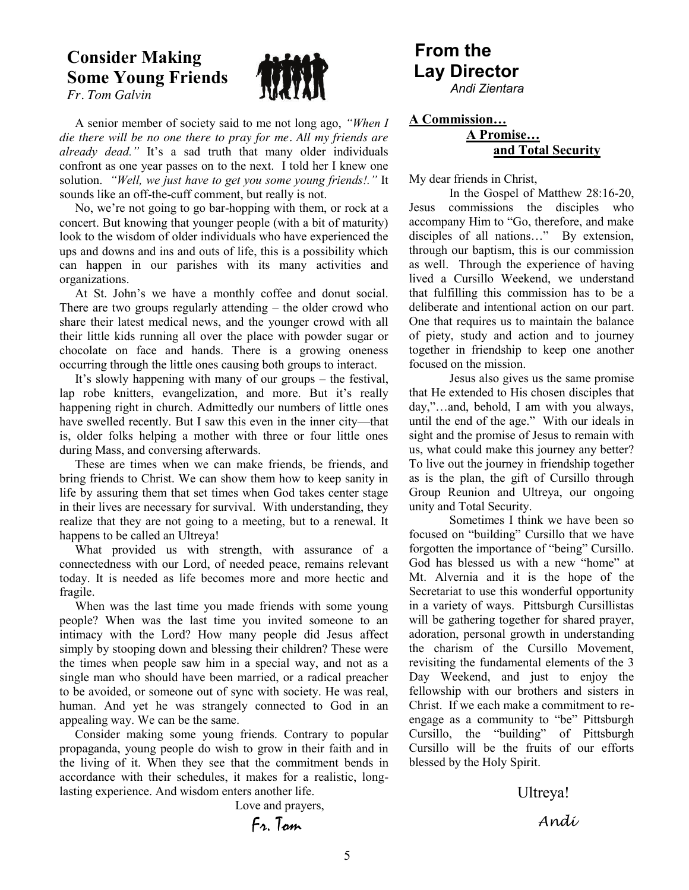### **Consider Making Some Young Friends**  *Fr. Tom Galvin*



 A senior member of society said to me not long ago, *"When I die there will be no one there to pray for me. All my friends are already dead."* It's a sad truth that many older individuals confront as one year passes on to the next. I told her I knew one solution. *"Well, we just have to get you some young friends!."* It sounds like an off-the-cuff comment, but really is not.

 No, we're not going to go bar-hopping with them, or rock at a concert. But knowing that younger people (with a bit of maturity) look to the wisdom of older individuals who have experienced the ups and downs and ins and outs of life, this is a possibility which can happen in our parishes with its many activities and organizations.

 At St. John's we have a monthly coffee and donut social. There are two groups regularly attending – the older crowd who share their latest medical news, and the younger crowd with all their little kids running all over the place with powder sugar or chocolate on face and hands. There is a growing oneness occurring through the little ones causing both groups to interact.

 It's slowly happening with many of our groups – the festival, lap robe knitters, evangelization, and more. But it's really happening right in church. Admittedly our numbers of little ones have swelled recently. But I saw this even in the inner city—that is, older folks helping a mother with three or four little ones during Mass, and conversing afterwards.

 These are times when we can make friends, be friends, and bring friends to Christ. We can show them how to keep sanity in life by assuring them that set times when God takes center stage in their lives are necessary for survival. With understanding, they realize that they are not going to a meeting, but to a renewal. It happens to be called an Ultreya!

 What provided us with strength, with assurance of a connectedness with our Lord, of needed peace, remains relevant today. It is needed as life becomes more and more hectic and fragile.

 When was the last time you made friends with some young people? When was the last time you invited someone to an intimacy with the Lord? How many people did Jesus affect simply by stooping down and blessing their children? These were the times when people saw him in a special way, and not as a single man who should have been married, or a radical preacher to be avoided, or someone out of sync with society. He was real, human. And yet he was strangely connected to God in an appealing way. We can be the same.

 Consider making some young friends. Contrary to popular propaganda, young people do wish to grow in their faith and in the living of it. When they see that the commitment bends in accordance with their schedules, it makes for a realistic, longlasting experience. And wisdom enters another life.

Love and prayers,

Fr. Tom

## **From the Lay Director**  *Andi Zientara*

# **A Commission…**

### **A Promise… and Total Security**

My dear friends in Christ,

In the Gospel of Matthew 28:16-20, Jesus commissions the disciples who accompany Him to "Go, therefore, and make disciples of all nations…" By extension, through our baptism, this is our commission as well. Through the experience of having lived a Cursillo Weekend, we understand that fulfilling this commission has to be a deliberate and intentional action on our part. One that requires us to maintain the balance of piety, study and action and to journey together in friendship to keep one another focused on the mission.

Jesus also gives us the same promise that He extended to His chosen disciples that day,"…and, behold, I am with you always, until the end of the age." With our ideals in sight and the promise of Jesus to remain with us, what could make this journey any better? To live out the journey in friendship together as is the plan, the gift of Cursillo through Group Reunion and Ultreya, our ongoing unity and Total Security.

 Sometimes I think we have been so focused on "building" Cursillo that we have forgotten the importance of "being" Cursillo. God has blessed us with a new "home" at Mt. Alvernia and it is the hope of the Secretariat to use this wonderful opportunity in a variety of ways. Pittsburgh Cursillistas will be gathering together for shared prayer, adoration, personal growth in understanding the charism of the Cursillo Movement, revisiting the fundamental elements of the 3 Day Weekend, and just to enjoy the fellowship with our brothers and sisters in Christ. If we each make a commitment to reengage as a community to "be" Pittsburgh Cursillo, the "building" of Pittsburgh Cursillo will be the fruits of our efforts blessed by the Holy Spirit.

 Ultreya! Andi